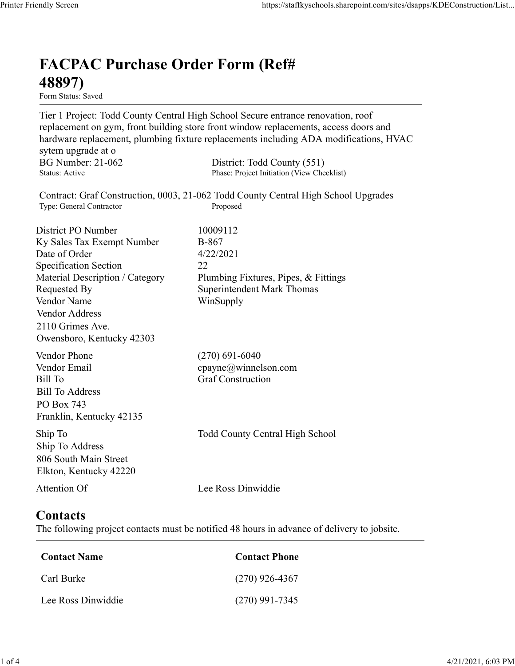## FACPAC Purchase Order Form (Ref# 48897)

Form Status: Saved

Tier 1 Project: Todd County Central High School Secure entrance renovation, roof replacement on gym, front building store front window replacements, access doors and hardware replacement, plumbing fixture replacements including ADA modifications, HVAC sytem upgrade at o https://staffkyschools.sharepoint.com/sites/dsapps/KDEConstructic<br> **FACPAC Purchase Order Form (Ref#**<br> **FECPAC Purchase Order Form (Ref#**<br>
Tier 1 Project: Todd County Central High School Secure entrance renovation, roof<br>
r https://staffkyschools.sharepoint.com/sites/dsapps/KDEConstructic<br> **FACPAC Purchase Order Form (Ref#**<br>
Form States: Saved<br>
Form States: Saved<br>
Tier 1 Project: Todd County Central High School Secure entrance renovation, roo Contract: Graf Construction, 0003, 21-062 Todd County Central High School Upgrades https://staffkyschools.sharepoint.com/sites/dsarps/KDFConstructic<br> **FACPAC Purchase Order Form (Ref#**<br>
Form Status: Saved<br>
Form Status: Saved<br>
Form Status: Saved<br>
Terpleicet: Todd County Central High School Secure entrance **FACPAC Purchase Order Form (Ref#**<br> **48897)**<br> **Form Status:** Saved<br>
Tier 1 Project: Todd County Central High School Sceure entrance renovation, roof<br>
replacement on gym, front building store front window replacements, acc **FACPAC Purchase Order Form (Ref#**<br> **48897)**<br>
Form Staws<br>
Form Staves<br>
Terr 1 Project: Todd County Central High School Secure entrance renovation, roof<br>
Teplacement on gym, front building store front window replacements, **FACPAC Purchase Order Form (Ref#** $\bf{48897}$ <br>
Form Status: Saved<br>
Tier 1 Project: Todd County Central High School Secure entrance renovation, roof<br>
replacement on gym, front building store front window replacements, acce FACPAC Purchase Order Form (Ref#<br>
48897)<br>
Form Status: Saved<br>
Tier 1 Project: Todd County Central High School Sceure entrance renovation, roof<br>
replacement on gym, front building store front window replacements, access doo **FACPAC Purchase Order Form (Ref#**<br> **48897)**<br>
Form Status. Saved<br>
Tert 1 Project: Todd County Central High School Secure entrance renovation, roof<br>
Teplacement on gym, front building store front window replacements, acces **48897)**<br>
Form Status: Saved<br>
Tier 1 Project: Todd County Central High School Secure entrance renovation, roof<br>
replacement on gym, front building store front window replacements, access doors and<br>
hardware replacement, pl **From States:** Swed<br> **Form States:** Swed<br>
Trer 1 Project: Todd County Central High School Sceure entrance renovation, roof<br>
replacement on gym, front building store front window replacements, access doors and<br>
hardware rep Vendor Address 2110 Grimes Ave. Owensboro, Kentucky 42303 nardware replacements, multimagn Kittler replacements including ADA modifications, HVAC<br>
System upgrade at o<br>
BG Number: 21-062 District: Todd County (551)<br>
Status: Active<br>
Contract: Graf Construction, 0003, 21-062 Todd Co sytem upgrade at o<br>
BG Number: 21-062 District: Todd County (551)<br>
Statis: Aetive Phase: Project Initiation (View Checklist)<br>
Statis: Aetive Phase: Project Initiation (View Checklist)<br>
Type: General Contractor<br>
District PO Bill Number: 21-062<br>
Bill Number<br>
Status: Active<br>
Status: Active<br>
Contract: Graf Construction, 0003, 21-062 Todd County Central High School Upgrades<br>
Type: General Contractor<br>
District PO Number<br>
District PO Number<br>
Distri Bill To Address PO Box 743 Franklin, Kentucky 42135 District PO Number<br>
IS November 10000112<br>
Sty Sales Tax Exempt Number 16-867<br>
Date of Order<br>
Shepistectic and the series of the series of the sequested By<br>
Material Description / Category 2<br>
Material Description / Category Ship To Address 806 South Main Street Elkton, Kentucky 42220 Material Description / Category<br>
Requested By<br>
Requested By<br>
Nendor Name<br>
Vendor Address<br>
Vendor Address<br>
Vendor Address<br>
Owensboro, Kentucky 42303<br>
Vendor Phone<br>
(270) 691-6040<br>
Vendor Phone<br>
(270) 691-6040<br>
Vendor Phone<br> **Contacts** The following project contacts must be notified 48 hours in advance of delivery to jobsite. We contact Name<br>
Condor Renator Email<br>
iil To<br>
Feder Email<br>
iil To<br>
Elister Construction<br>
Contact School<br>
Contact Name<br>
Contact Name<br>
Contact S<br>
transline, Kentucky 42220<br>
Lee Ross Dinwiddie<br>
Contact S<br>
the following proje Example (270) 926-4367<br>
Entil To Address<br>
Sill To Address<br>
CO Box 743<br>
CO Box 743<br>
In p To<br>
Co South Main Street<br>
In p To<br>
Consoling To<br>
Consoling To<br>
Consoling To<br>
Consoling project contacts<br>
Attention Of<br>
Consoling proje Sill To Address<br>
Co Box 743<br>
Tranklin, Kentucky 42135<br>
hip To<br>
Todd County Central High School<br>
Michigo To Address<br>
hip To Address<br>
Likton, Kentucky 42220<br>
Lee Ross Dinwiddie<br> **Contact Secure Ross Dinamiller**<br>
Contact Name

| Contact Name       | <b>Contact Phone</b> |
|--------------------|----------------------|
| Carl Burke         | $(270)$ 926-4367     |
| Lee Ross Dinwiddie | $(270)$ 991-7345     |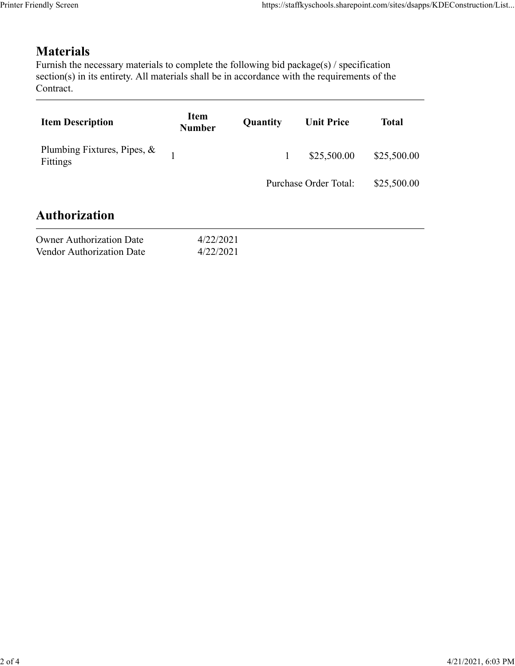## **Materials**

| endly Screen                                                                                                                                                                                                               |                              |              | https://staffkyschools.sharepoint.com/sites/dsapps/KDEConstruction/List |              |
|----------------------------------------------------------------------------------------------------------------------------------------------------------------------------------------------------------------------------|------------------------------|--------------|-------------------------------------------------------------------------|--------------|
| <b>Materials</b><br>Furnish the necessary materials to complete the following bid package(s) / specification<br>section(s) in its entirety. All materials shall be in accordance with the requirements of the<br>Contract. |                              |              |                                                                         |              |
| <b>Item Description</b>                                                                                                                                                                                                    | <b>Item</b><br><b>Number</b> | Quantity     | <b>Unit Price</b>                                                       | <b>Total</b> |
| Plumbing Fixtures, Pipes, &<br>Fittings                                                                                                                                                                                    | $\mathbf{1}$                 | $\mathbf{1}$ | \$25,500.00                                                             | \$25,500.00  |
|                                                                                                                                                                                                                            |                              |              | Purchase Order Total:                                                   | \$25,500.00  |
| <b>Authorization</b>                                                                                                                                                                                                       |                              |              |                                                                         |              |
| <b>Owner Authorization Date</b><br>Vendor Authorization Date                                                                                                                                                               | 4/22/2021<br>4/22/2021       |              |                                                                         |              |
|                                                                                                                                                                                                                            |                              |              |                                                                         |              |

| <b>Owner Authorization Date</b> | 4/22/202 |
|---------------------------------|----------|
| Vendor Authorization Date       | 4/22/202 |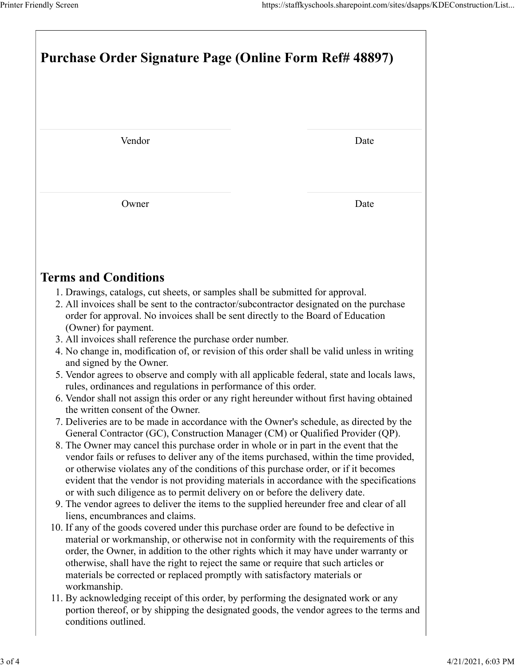| Printer Friendly Screen                                                                                                                                                                                                                                                                                                                                                                                                                                 | https://staffkyschools.sharepoint.com/sites/dsapps/KDEConstruction/List |
|---------------------------------------------------------------------------------------------------------------------------------------------------------------------------------------------------------------------------------------------------------------------------------------------------------------------------------------------------------------------------------------------------------------------------------------------------------|-------------------------------------------------------------------------|
| Purchase Order Signature Page (Online Form Ref# 48897)                                                                                                                                                                                                                                                                                                                                                                                                  |                                                                         |
|                                                                                                                                                                                                                                                                                                                                                                                                                                                         |                                                                         |
| Vendor                                                                                                                                                                                                                                                                                                                                                                                                                                                  | Date                                                                    |
| Owner                                                                                                                                                                                                                                                                                                                                                                                                                                                   | Date                                                                    |
| <b>Terms and Conditions</b>                                                                                                                                                                                                                                                                                                                                                                                                                             |                                                                         |
| 1. Drawings, catalogs, cut sheets, or samples shall be submitted for approval.<br>2. All invoices shall be sent to the contractor/subcontractor designated on the purchase<br>order for approval. No invoices shall be sent directly to the Board of Education<br>(Owner) for payment.<br>3. All invoices shall reference the purchase order number.                                                                                                    |                                                                         |
| 4. No change in, modification of, or revision of this order shall be valid unless in writing<br>and signed by the Owner.                                                                                                                                                                                                                                                                                                                                |                                                                         |
| 5. Vendor agrees to observe and comply with all applicable federal, state and locals laws,<br>rules, ordinances and regulations in performance of this order.<br>6. Vendor shall not assign this order or any right hereunder without first having obtained<br>the written consent of the Owner.<br>7. Deliveries are to be made in accordance with the Owner's schedule, as directed by the                                                            |                                                                         |
| General Contractor (GC), Construction Manager (CM) or Qualified Provider (QP).<br>8. The Owner may cancel this purchase order in whole or in part in the event that the<br>vendor fails or refuses to deliver any of the items purchased, within the time provided,<br>or otherwise violates any of the conditions of this purchase order, or if it becomes<br>evident that the vendor is not providing materials in accordance with the specifications |                                                                         |
| or with such diligence as to permit delivery on or before the delivery date.<br>9. The vendor agrees to deliver the items to the supplied hereunder free and clear of all<br>liens, encumbrances and claims.<br>10. If any of the goods covered under this purchase order are found to be defective in<br>material or workmanship, or otherwise not in conformity with the requirements of this                                                         |                                                                         |
| order, the Owner, in addition to the other rights which it may have under warranty or<br>otherwise, shall have the right to reject the same or require that such articles or<br>materials be corrected or replaced promptly with satisfactory materials or<br>workmanship.                                                                                                                                                                              |                                                                         |
| 11. By acknowledging receipt of this order, by performing the designated work or any                                                                                                                                                                                                                                                                                                                                                                    |                                                                         |